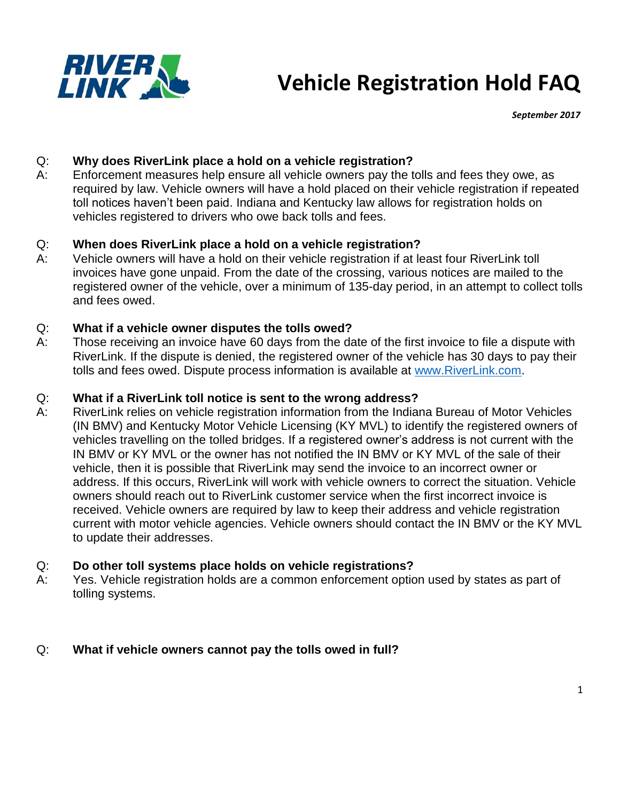

# **Vehicle Registration Hold FAQ**

*September 2017*

# Q: **Why does RiverLink place a hold on a vehicle registration?**

A: Enforcement measures help ensure all vehicle owners pay the tolls and fees they owe, as required by law. Vehicle owners will have a hold placed on their vehicle registration if repeated toll notices haven't been paid. Indiana and Kentucky law allows for registration holds on vehicles registered to drivers who owe back tolls and fees.

#### Q: **When does RiverLink place a hold on a vehicle registration?**

A: Vehicle owners will have a hold on their vehicle registration if at least four RiverLink toll invoices have gone unpaid. From the date of the crossing, various notices are mailed to the registered owner of the vehicle, over a minimum of 135-day period, in an attempt to collect tolls and fees owed.

#### Q: **What if a vehicle owner disputes the tolls owed?**

A: Those receiving an invoice have 60 days from the date of the first invoice to file a dispute with RiverLink. If the dispute is denied, the registered owner of the vehicle has 30 days to pay their tolls and fees owed. Dispute process information is available at [www.RiverLink.com.](http://www.riverlink.com/)

#### Q: **What if a RiverLink toll notice is sent to the wrong address?**

A: RiverLink relies on vehicle registration information from the Indiana Bureau of Motor Vehicles (IN BMV) and Kentucky Motor Vehicle Licensing (KY MVL) to identify the registered owners of vehicles travelling on the tolled bridges. If a registered owner's address is not current with the IN BMV or KY MVL or the owner has not notified the IN BMV or KY MVL of the sale of their vehicle, then it is possible that RiverLink may send the invoice to an incorrect owner or address. If this occurs, RiverLink will work with vehicle owners to correct the situation. Vehicle owners should reach out to RiverLink customer service when the first incorrect invoice is received. Vehicle owners are required by law to keep their address and vehicle registration current with motor vehicle agencies. Vehicle owners should contact the IN BMV or the KY MVL to update their addresses.

#### Q: **Do other toll systems place holds on vehicle registrations?**

A: Yes. Vehicle registration holds are a common enforcement option used by states as part of tolling systems.

#### Q: **What if vehicle owners cannot pay the tolls owed in full?**